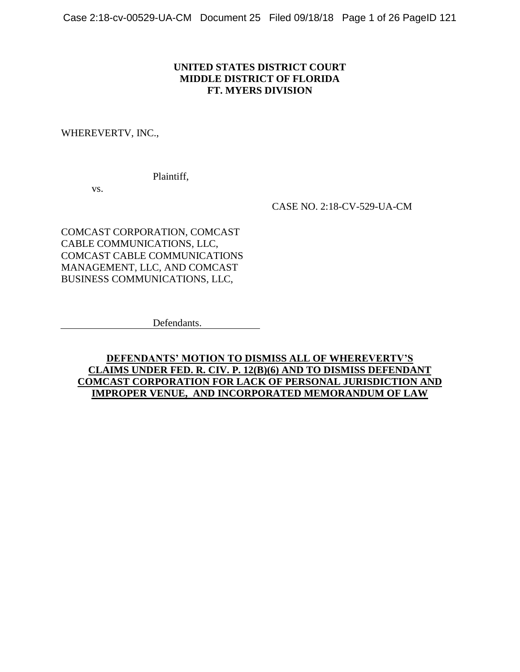### **UNITED STATES DISTRICT COURT MIDDLE DISTRICT OF FLORIDA FT. MYERS DIVISION**

#### WHEREVERTV, INC.,

Plaintiff,

vs.

CASE NO. 2:18-CV-529-UA-CM

COMCAST CORPORATION, COMCAST CABLE COMMUNICATIONS, LLC, COMCAST CABLE COMMUNICATIONS MANAGEMENT, LLC, AND COMCAST BUSINESS COMMUNICATIONS, LLC,

Defendants.

**DEFENDANTS' MOTION TO DISMISS ALL OF WHEREVERTV'S CLAIMS UNDER FED. R. CIV. P. 12(B)(6) AND TO DISMISS DEFENDANT COMCAST CORPORATION FOR LACK OF PERSONAL JURISDICTION AND IMPROPER VENUE, AND INCORPORATED MEMORANDUM OF LAW**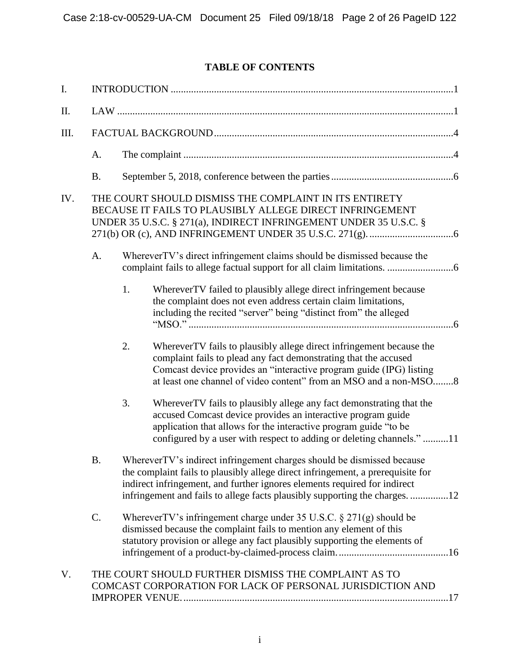# **TABLE OF CONTENTS**

| I.   |           |                                                                                                                                                                                                                                                                                                                       |                                                                                                                                                                                                                                                                                      |  |  |  |  |
|------|-----------|-----------------------------------------------------------------------------------------------------------------------------------------------------------------------------------------------------------------------------------------------------------------------------------------------------------------------|--------------------------------------------------------------------------------------------------------------------------------------------------------------------------------------------------------------------------------------------------------------------------------------|--|--|--|--|
| II.  |           |                                                                                                                                                                                                                                                                                                                       |                                                                                                                                                                                                                                                                                      |  |  |  |  |
| III. |           |                                                                                                                                                                                                                                                                                                                       |                                                                                                                                                                                                                                                                                      |  |  |  |  |
|      | A.        |                                                                                                                                                                                                                                                                                                                       |                                                                                                                                                                                                                                                                                      |  |  |  |  |
|      | <b>B.</b> |                                                                                                                                                                                                                                                                                                                       |                                                                                                                                                                                                                                                                                      |  |  |  |  |
| IV.  |           |                                                                                                                                                                                                                                                                                                                       | THE COURT SHOULD DISMISS THE COMPLAINT IN ITS ENTIRETY<br>BECAUSE IT FAILS TO PLAUSIBLY ALLEGE DIRECT INFRINGEMENT<br>UNDER 35 U.S.C. § 271(a), INDIRECT INFRINGEMENT UNDER 35 U.S.C. §                                                                                              |  |  |  |  |
|      | A.        |                                                                                                                                                                                                                                                                                                                       | WhereverTV's direct infringement claims should be dismissed because the                                                                                                                                                                                                              |  |  |  |  |
|      |           | 1.                                                                                                                                                                                                                                                                                                                    | WhereverTV failed to plausibly allege direct infringement because<br>the complaint does not even address certain claim limitations,<br>including the recited "server" being "distinct from" the alleged                                                                              |  |  |  |  |
|      |           | 2.                                                                                                                                                                                                                                                                                                                    | WhereverTV fails to plausibly allege direct infringement because the<br>complaint fails to plead any fact demonstrating that the accused<br>Comcast device provides an "interactive program guide (IPG) listing<br>at least one channel of video content" from an MSO and a non-MSO8 |  |  |  |  |
|      |           | 3.                                                                                                                                                                                                                                                                                                                    | WhereverTV fails to plausibly allege any fact demonstrating that the<br>accused Comcast device provides an interactive program guide<br>application that allows for the interactive program guide "to be<br>configured by a user with respect to adding or deleting channels."11     |  |  |  |  |
|      | <b>B.</b> | WhereverTV's indirect infringement charges should be dismissed because<br>the complaint fails to plausibly allege direct infringement, a prerequisite for<br>indirect infringement, and further ignores elements required for indirect<br>infringement and fails to allege facts plausibly supporting the charges. 12 |                                                                                                                                                                                                                                                                                      |  |  |  |  |
|      | C.        | Wherever TV's infringement charge under 35 U.S.C. $\S 271(g)$ should be<br>dismissed because the complaint fails to mention any element of this<br>statutory provision or allege any fact plausibly supporting the elements of                                                                                        |                                                                                                                                                                                                                                                                                      |  |  |  |  |
| V.   |           |                                                                                                                                                                                                                                                                                                                       | THE COURT SHOULD FURTHER DISMISS THE COMPLAINT AS TO<br>COMCAST CORPORATION FOR LACK OF PERSONAL JURISDICTION AND                                                                                                                                                                    |  |  |  |  |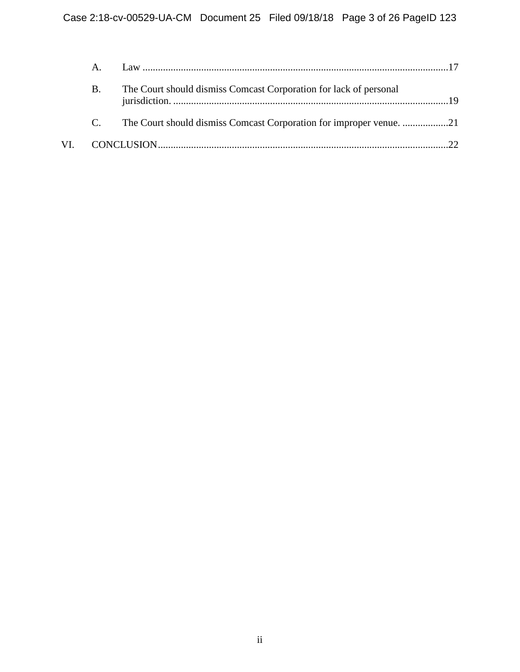|     | Α. |                                                                     |  |
|-----|----|---------------------------------------------------------------------|--|
|     | В. | The Court should dismiss Comcast Corporation for lack of personal   |  |
|     |    | The Court should dismiss Comcast Corporation for improper venue. 21 |  |
| VI. |    |                                                                     |  |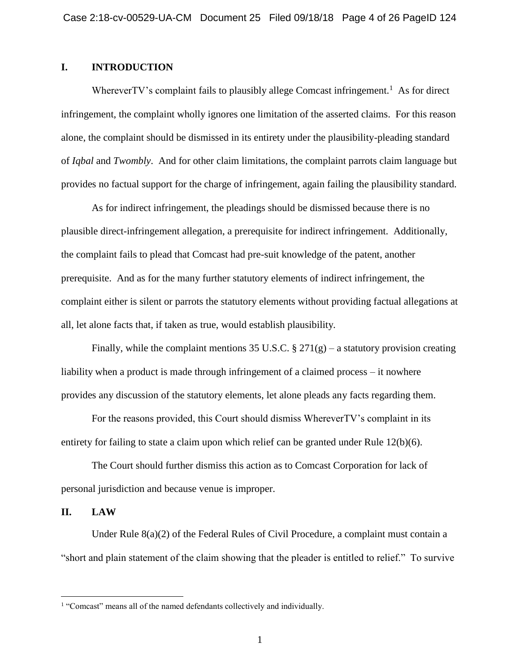### **I. INTRODUCTION**

Wherever TV's complaint fails to plausibly allege Comcast infringement.<sup>1</sup> As for direct infringement, the complaint wholly ignores one limitation of the asserted claims. For this reason alone, the complaint should be dismissed in its entirety under the plausibility-pleading standard of *Iqbal* and *Twombly*. And for other claim limitations, the complaint parrots claim language but provides no factual support for the charge of infringement, again failing the plausibility standard.

As for indirect infringement, the pleadings should be dismissed because there is no plausible direct-infringement allegation, a prerequisite for indirect infringement. Additionally, the complaint fails to plead that Comcast had pre-suit knowledge of the patent, another prerequisite. And as for the many further statutory elements of indirect infringement, the complaint either is silent or parrots the statutory elements without providing factual allegations at all, let alone facts that, if taken as true, would establish plausibility.

Finally, while the complaint mentions 35 U.S.C.  $\S 271(g)$  – a statutory provision creating liability when a product is made through infringement of a claimed process – it nowhere provides any discussion of the statutory elements, let alone pleads any facts regarding them.

For the reasons provided, this Court should dismiss WhereverTV's complaint in its entirety for failing to state a claim upon which relief can be granted under Rule 12(b)(6).

The Court should further dismiss this action as to Comcast Corporation for lack of personal jurisdiction and because venue is improper.

#### **II. LAW**

 $\overline{a}$ 

Under Rule  $8(a)(2)$  of the Federal Rules of Civil Procedure, a complaint must contain a "short and plain statement of the claim showing that the pleader is entitled to relief." To survive

<sup>&</sup>lt;sup>1</sup> "Comcast" means all of the named defendants collectively and individually.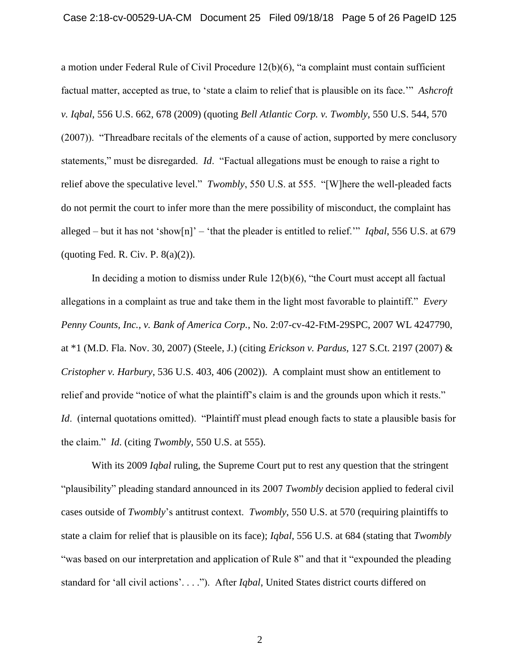a motion under Federal Rule of Civil Procedure 12(b)(6), "a complaint must contain sufficient factual matter, accepted as true, to 'state a claim to relief that is plausible on its face.'" *Ashcroft v. Iqbal*, 556 U.S. 662, 678 (2009) (quoting *Bell Atlantic Corp. v. Twombly*, 550 U.S. 544, 570 (2007)). "Threadbare recitals of the elements of a cause of action, supported by mere conclusory statements," must be disregarded. *Id*. "Factual allegations must be enough to raise a right to relief above the speculative level." *Twombly*, 550 U.S. at 555. "[W]here the well-pleaded facts do not permit the court to infer more than the mere possibility of misconduct, the complaint has alleged – but it has not 'show[n]' – 'that the pleader is entitled to relief.'" *Iqbal*, 556 U.S. at 679 (quoting Fed. R. Civ. P.  $8(a)(2)$ ).

In deciding a motion to dismiss under Rule 12(b)(6), "the Court must accept all factual allegations in a complaint as true and take them in the light most favorable to plaintiff." *Every Penny Counts, Inc., v. Bank of America Corp.*, No. 2:07-cv-42-FtM-29SPC, 2007 WL 4247790, at \*1 (M.D. Fla. Nov. 30, 2007) (Steele, J.) (citing *Erickson v. Pardus*, 127 S.Ct. 2197 (2007) & *Cristopher v. Harbury*, 536 U.S. 403, 406 (2002)). A complaint must show an entitlement to relief and provide "notice of what the plaintiff's claim is and the grounds upon which it rests." *Id.* (internal quotations omitted). "Plaintiff must plead enough facts to state a plausible basis for the claim." *Id*. (citing *Twombly*, 550 U.S. at 555).

With its 2009 *Iqbal* ruling, the Supreme Court put to rest any question that the stringent "plausibility" pleading standard announced in its 2007 *Twombly* decision applied to federal civil cases outside of *Twombly*'s antitrust context. *Twombly*, 550 U.S. at 570 (requiring plaintiffs to state a claim for relief that is plausible on its face); *Iqbal*, 556 U.S. at 684 (stating that *Twombly* "was based on our interpretation and application of Rule 8" and that it "expounded the pleading standard for 'all civil actions'. . . ."). After *Iqbal*, United States district courts differed on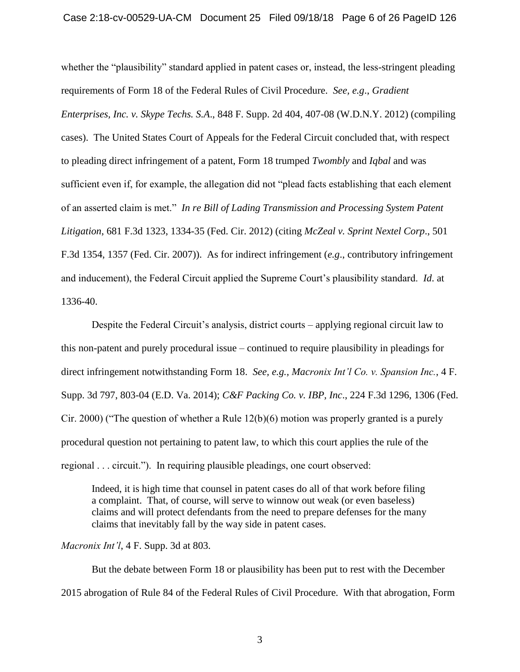whether the "plausibility" standard applied in patent cases or, instead, the less-stringent pleading requirements of Form 18 of the Federal Rules of Civil Procedure. *See, e.g*., *Gradient Enterprises, Inc. v. Skype Techs. S.A*., 848 F. Supp. 2d 404, 407-08 (W.D.N.Y. 2012) (compiling cases). The United States Court of Appeals for the Federal Circuit concluded that, with respect to pleading direct infringement of a patent, Form 18 trumped *Twombly* and *Iqbal* and was sufficient even if, for example, the allegation did not "plead facts establishing that each element of an asserted claim is met." *In re Bill of Lading Transmission and Processing System Patent Litigation*, 681 F.3d 1323, 1334-35 (Fed. Cir. 2012) (citing *McZeal v. Sprint Nextel Corp*., 501 F.3d 1354, 1357 (Fed. Cir. 2007)). As for indirect infringement (*e.g*., contributory infringement and inducement), the Federal Circuit applied the Supreme Court's plausibility standard. *Id*. at 1336-40.

Despite the Federal Circuit's analysis, district courts – applying regional circuit law to this non-patent and purely procedural issue – continued to require plausibility in pleadings for direct infringement notwithstanding Form 18. *See, e.g., Macronix Int'l Co. v. Spansion Inc.*, 4 F. Supp. 3d 797, 803-04 (E.D. Va. 2014); *C&F Packing Co. v. IBP, Inc*., 224 F.3d 1296, 1306 (Fed. Cir. 2000) ("The question of whether a Rule 12(b)(6) motion was properly granted is a purely procedural question not pertaining to patent law, to which this court applies the rule of the regional . . . circuit."). In requiring plausible pleadings, one court observed:

Indeed, it is high time that counsel in patent cases do all of that work before filing a complaint. That, of course, will serve to winnow out weak (or even baseless) claims and will protect defendants from the need to prepare defenses for the many claims that inevitably fall by the way side in patent cases.

*Macronix Int'l*, 4 F. Supp. 3d at 803.

But the debate between Form 18 or plausibility has been put to rest with the December 2015 abrogation of Rule 84 of the Federal Rules of Civil Procedure. With that abrogation, Form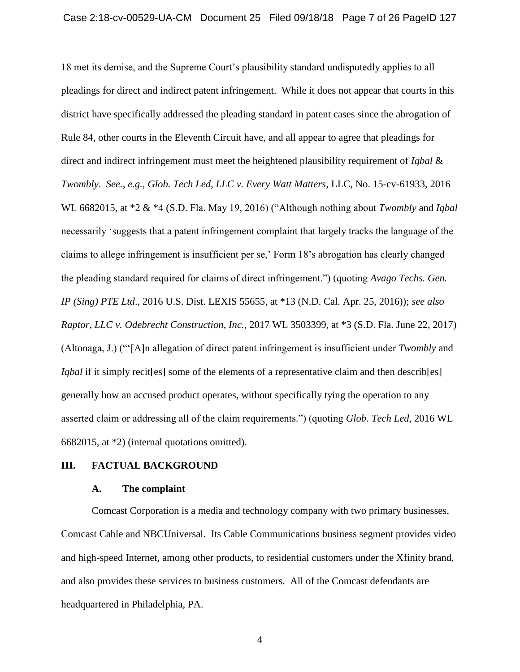18 met its demise, and the Supreme Court's plausibility standard undisputedly applies to all pleadings for direct and indirect patent infringement. While it does not appear that courts in this district have specifically addressed the pleading standard in patent cases since the abrogation of Rule 84, other courts in the Eleventh Circuit have, and all appear to agree that pleadings for direct and indirect infringement must meet the heightened plausibility requirement of *Iqbal* & *Twombly*. *See., e.g., Glob. Tech Led, LLC v. Every Watt Matters*, LLC, No. 15-cv-61933, 2016 WL 6682015, at \*2 & \*4 (S.D. Fla. May 19, 2016) ("Although nothing about *Twombly* and *Iqbal* necessarily 'suggests that a patent infringement complaint that largely tracks the language of the claims to allege infringement is insufficient per se,' Form 18's abrogation has clearly changed the pleading standard required for claims of direct infringement.") (quoting *Avago Techs. Gen. IP (Sing) PTE Ltd*., 2016 U.S. Dist. LEXIS 55655, at \*13 (N.D. Cal. Apr. 25, 2016)); *see also Raptor, LLC v. Odebrecht Construction, Inc.*, 2017 WL 3503399, at \*3 (S.D. Fla. June 22, 2017) (Altonaga, J.) ("'[A]n allegation of direct patent infringement is insufficient under *Twombly* and *Iqbal* if it simply recites some of the elements of a representative claim and then describes generally how an accused product operates, without specifically tying the operation to any asserted claim or addressing all of the claim requirements.") (quoting *Glob. Tech Led*, 2016 WL 6682015, at \*2) (internal quotations omitted).

#### **III. FACTUAL BACKGROUND**

#### **A. The complaint**

Comcast Corporation is a media and technology company with two primary businesses, Comcast Cable and NBCUniversal. Its Cable Communications business segment provides video and high-speed Internet, among other products, to residential customers under the Xfinity brand, and also provides these services to business customers. All of the Comcast defendants are headquartered in Philadelphia, PA.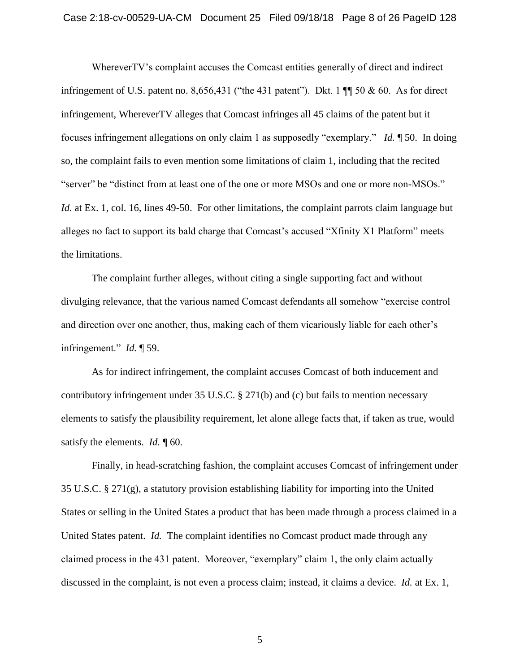WhereverTV's complaint accuses the Comcast entities generally of direct and indirect infringement of U.S. patent no. 8,656,431 ("the 431 patent"). Dkt. 1  $\P$  50 & 60. As for direct infringement, WhereverTV alleges that Comcast infringes all 45 claims of the patent but it focuses infringement allegations on only claim 1 as supposedly "exemplary." *Id.* ¶ 50. In doing so, the complaint fails to even mention some limitations of claim 1, including that the recited "server" be "distinct from at least one of the one or more MSOs and one or more non-MSOs." *Id.* at Ex. 1, col. 16, lines 49-50. For other limitations, the complaint parrots claim language but alleges no fact to support its bald charge that Comcast's accused "Xfinity X1 Platform" meets the limitations.

The complaint further alleges, without citing a single supporting fact and without divulging relevance, that the various named Comcast defendants all somehow "exercise control and direction over one another, thus, making each of them vicariously liable for each other's infringement." *Id.* ¶ 59.

As for indirect infringement, the complaint accuses Comcast of both inducement and contributory infringement under 35 U.S.C. § 271(b) and (c) but fails to mention necessary elements to satisfy the plausibility requirement, let alone allege facts that, if taken as true, would satisfy the elements. *Id.* 160.

Finally, in head-scratching fashion, the complaint accuses Comcast of infringement under 35 U.S.C. § 271(g), a statutory provision establishing liability for importing into the United States or selling in the United States a product that has been made through a process claimed in a United States patent. *Id.* The complaint identifies no Comcast product made through any claimed process in the 431 patent. Moreover, "exemplary" claim 1, the only claim actually discussed in the complaint, is not even a process claim; instead, it claims a device. *Id.* at Ex. 1,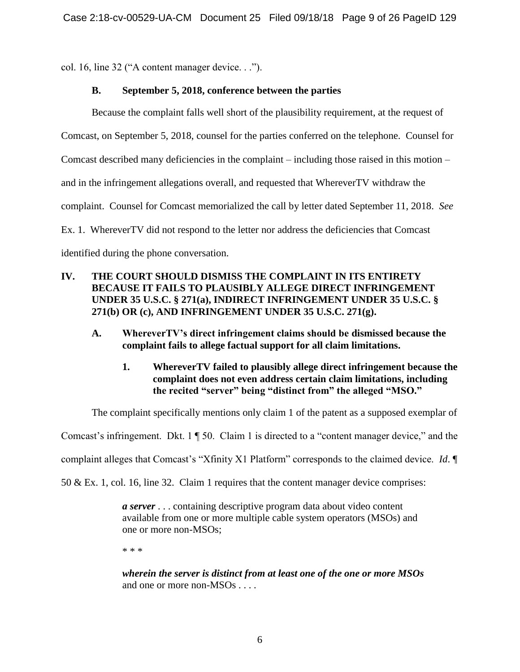col. 16, line 32 ("A content manager device. . .").

# **B. September 5, 2018, conference between the parties**

Because the complaint falls well short of the plausibility requirement, at the request of Comcast, on September 5, 2018, counsel for the parties conferred on the telephone. Counsel for Comcast described many deficiencies in the complaint – including those raised in this motion – and in the infringement allegations overall, and requested that WhereverTV withdraw the complaint. Counsel for Comcast memorialized the call by letter dated September 11, 2018. *See* Ex. 1. WhereverTV did not respond to the letter nor address the deficiencies that Comcast identified during the phone conversation.

# **IV. THE COURT SHOULD DISMISS THE COMPLAINT IN ITS ENTIRETY BECAUSE IT FAILS TO PLAUSIBLY ALLEGE DIRECT INFRINGEMENT UNDER 35 U.S.C. § 271(a), INDIRECT INFRINGEMENT UNDER 35 U.S.C. § 271(b) OR (c), AND INFRINGEMENT UNDER 35 U.S.C. 271(g).**

- **A. WhereverTV's direct infringement claims should be dismissed because the complaint fails to allege factual support for all claim limitations.** 
	- **1. WhereverTV failed to plausibly allege direct infringement because the complaint does not even address certain claim limitations, including the recited "server" being "distinct from" the alleged "MSO."**

The complaint specifically mentions only claim 1 of the patent as a supposed exemplar of

Comcast's infringement. Dkt. 1 ¶ 50. Claim 1 is directed to a "content manager device," and the

complaint alleges that Comcast's "Xfinity X1 Platform" corresponds to the claimed device. *Id*. ¶

50 & Ex. 1, col. 16, line 32. Claim 1 requires that the content manager device comprises:

*a server* . . . containing descriptive program data about video content available from one or more multiple cable system operators (MSOs) and one or more non-MSOs;

\* \* \*

*wherein the server is distinct from at least one of the one or more MSOs* and one or more non-MSOs . . . .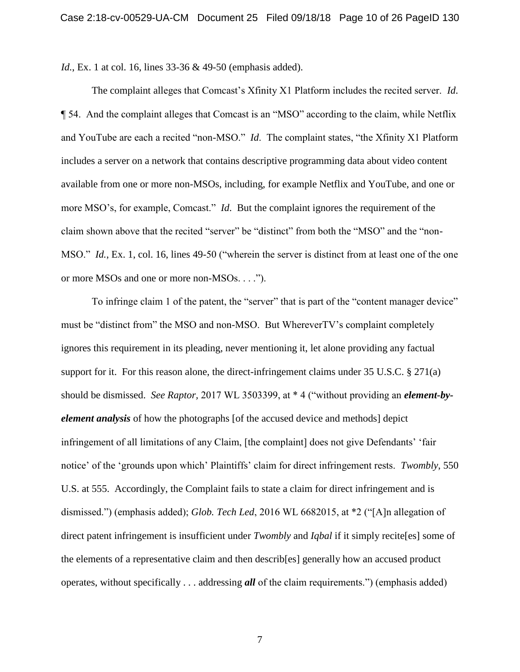*Id.*, Ex. 1 at col. 16, lines 33-36 & 49-50 (emphasis added).

The complaint alleges that Comcast's Xfinity X1 Platform includes the recited server. *Id*. ¶ 54. And the complaint alleges that Comcast is an "MSO" according to the claim, while Netflix and YouTube are each a recited "non-MSO." *Id*. The complaint states, "the Xfinity X1 Platform includes a server on a network that contains descriptive programming data about video content available from one or more non-MSOs, including, for example Netflix and YouTube, and one or more MSO's, for example, Comcast." *Id*. But the complaint ignores the requirement of the claim shown above that the recited "server" be "distinct" from both the "MSO" and the "non-MSO." *Id.*, Ex. 1, col. 16, lines 49-50 ("wherein the server is distinct from at least one of the one or more MSOs and one or more non-MSOs. . . .").

To infringe claim 1 of the patent, the "server" that is part of the "content manager device" must be "distinct from" the MSO and non-MSO. But WhereverTV's complaint completely ignores this requirement in its pleading, never mentioning it, let alone providing any factual support for it. For this reason alone, the direct-infringement claims under 35 U.S.C. § 271(a) should be dismissed. *See Raptor,* 2017 WL 3503399, at \* 4 ("without providing an *element-byelement analysis* of how the photographs [of the accused device and methods] depict infringement of all limitations of any Claim, [the complaint] does not give Defendants' 'fair notice' of the 'grounds upon which' Plaintiffs' claim for direct infringement rests. *Twombly*, 550 U.S. at 555. Accordingly, the Complaint fails to state a claim for direct infringement and is dismissed.") (emphasis added); *Glob. Tech Led*, 2016 WL 6682015, at \*2 ("[A]n allegation of direct patent infringement is insufficient under *Twombly* and *Iqbal* if it simply recite[es] some of the elements of a representative claim and then describ[es] generally how an accused product operates, without specifically . . . addressing *all* of the claim requirements.") (emphasis added)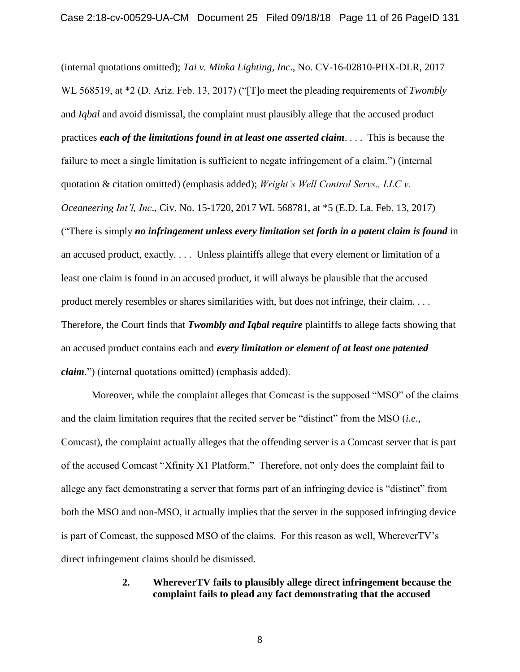(internal quotations omitted); *Tai v. Minka Lighting, Inc*., No. CV-16-02810-PHX-DLR, 2017 WL 568519, at \*2 (D. Ariz. Feb. 13, 2017) ("[T]o meet the pleading requirements of *Twombly* and *Iqbal* and avoid dismissal, the complaint must plausibly allege that the accused product practices *each of the limitations found in at least one asserted claim*. . . . This is because the failure to meet a single limitation is sufficient to negate infringement of a claim.") (internal quotation & citation omitted) (emphasis added); *Wright's Well Control Servs., LLC v. Oceaneering Int'l, Inc*., Civ. No. 15-1720, 2017 WL 568781, at \*5 (E.D. La. Feb. 13, 2017) ("There is simply *no infringement unless every limitation set forth in a patent claim is found* in an accused product, exactly. . . . Unless plaintiffs allege that every element or limitation of a least one claim is found in an accused product, it will always be plausible that the accused product merely resembles or shares similarities with, but does not infringe, their claim. . . . Therefore, the Court finds that *Twombly and Iqbal require* plaintiffs to allege facts showing that an accused product contains each and *every limitation or element of at least one patented claim*.") (internal quotations omitted) (emphasis added).

Moreover, while the complaint alleges that Comcast is the supposed "MSO" of the claims and the claim limitation requires that the recited server be "distinct" from the MSO (*i.e*., Comcast), the complaint actually alleges that the offending server is a Comcast server that is part of the accused Comcast "Xfinity X1 Platform." Therefore, not only does the complaint fail to allege any fact demonstrating a server that forms part of an infringing device is "distinct" from both the MSO and non-MSO, it actually implies that the server in the supposed infringing device is part of Comcast, the supposed MSO of the claims. For this reason as well, WhereverTV's direct infringement claims should be dismissed.

#### **2. WhereverTV fails to plausibly allege direct infringement because the complaint fails to plead any fact demonstrating that the accused**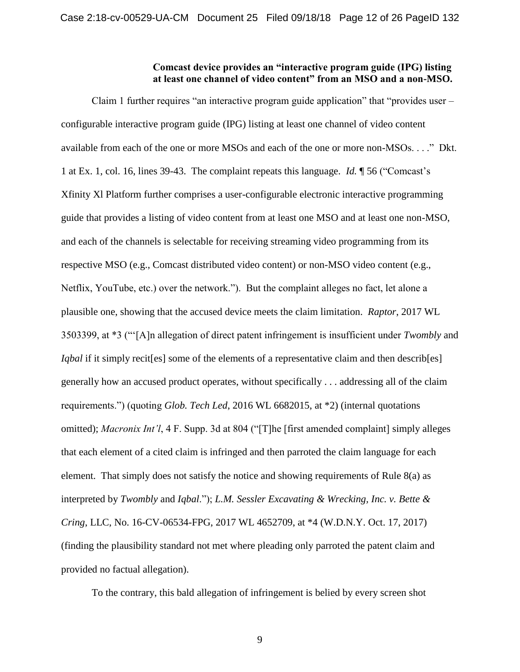#### **Comcast device provides an "interactive program guide (IPG) listing at least one channel of video content" from an MSO and a non-MSO.**

Claim 1 further requires "an interactive program guide application" that "provides user – configurable interactive program guide (IPG) listing at least one channel of video content available from each of the one or more MSOs and each of the one or more non-MSOs. . . ." Dkt. 1 at Ex. 1, col. 16, lines 39-43. The complaint repeats this language. *Id.* ¶ 56 ("Comcast's Xfinity Xl Platform further comprises a user-configurable electronic interactive programming guide that provides a listing of video content from at least one MSO and at least one non-MSO, and each of the channels is selectable for receiving streaming video programming from its respective MSO (e.g., Comcast distributed video content) or non-MSO video content (e.g., Netflix, YouTube, etc.) over the network."). But the complaint alleges no fact, let alone a plausible one, showing that the accused device meets the claim limitation. *Raptor*, 2017 WL 3503399, at \*3 ("'[A]n allegation of direct patent infringement is insufficient under *Twombly* and *Iqbal* if it simply recit[es] some of the elements of a representative claim and then describ[es] generally how an accused product operates, without specifically . . . addressing all of the claim requirements.") (quoting *Glob. Tech Led*, 2016 WL 6682015, at \*2) (internal quotations omitted); *Macronix Int'l*, 4 F. Supp. 3d at 804 ("[T]he [first amended complaint] simply alleges that each element of a cited claim is infringed and then parroted the claim language for each element. That simply does not satisfy the notice and showing requirements of Rule 8(a) as interpreted by *Twombly* and *Iqbal*."); *L.M. Sessler Excavating & Wrecking, Inc. v. Bette & Cring*, LLC, No. 16-CV-06534-FPG, 2017 WL 4652709, at \*4 (W.D.N.Y. Oct. 17, 2017) (finding the plausibility standard not met where pleading only parroted the patent claim and provided no factual allegation).

To the contrary, this bald allegation of infringement is belied by every screen shot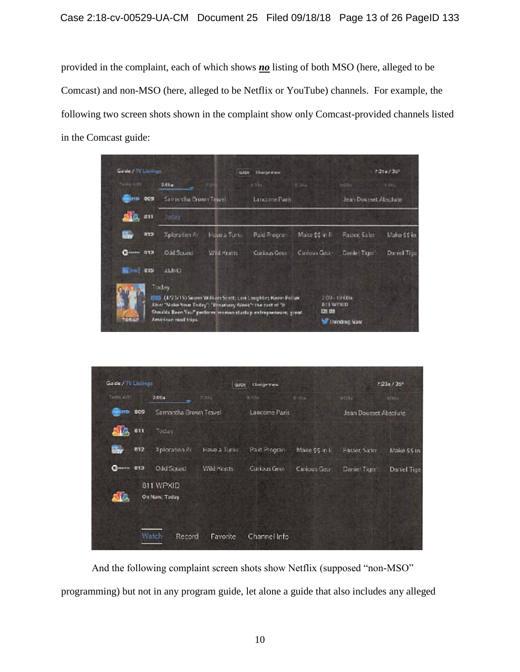provided in the complaint, each of which shows *no* listing of both MSO (here, alleged to be Comcast) and non-MSO (here, alleged to be Netflix or YouTube) channels. For example, the following two screen shots shown in the complaint show only Comcast-provided channels listed in the Comcast guide:

| Tédes 4.05            | 2.00a                |                                                            | 8,324.                                                                                                                      | 226x            |                           | ラリフィー                 | 3.36%       |  |
|-----------------------|----------------------|------------------------------------------------------------|-----------------------------------------------------------------------------------------------------------------------------|-----------------|---------------------------|-----------------------|-------------|--|
| <b>MATIO 009</b>      | Samanha Brown Tayyel |                                                            | Lancome Paris                                                                                                               |                 |                           | Jean Dousset Absolute |             |  |
| <b>Alg.</b> en        | TOCKY                |                                                            |                                                                                                                             |                 |                           |                       |             |  |
| u.<br>112             | Xploration A         | Have a Turk                                                | Paid Rogran                                                                                                                 | Make \$\$ in Fi |                           | Faster, Safer         | Make 56 in  |  |
| $Q$ mans 013          | Odd Scure:           | Wild Kratts                                                | <b>Curious</b> Geor                                                                                                         | Curious Gear    |                           | Deniel Tager!         | Darrel Tipe |  |
| <b>Silver!</b><br>315 | AMHO                 |                                                            |                                                                                                                             |                 |                           |                       |             |  |
|                       | Today                | Alco! "Naile Your Today": "Emanuery Week": the rast of "It | (4/23/15) Seams William Scott; Leni Laughlin; Kevin Pollak<br>Shmilda Been Yea!" perform wamen startup entrepreneurs; great |                 | <b>STI WPXID</b><br>FU KE | 3:03×10 00+           |             |  |
|                       | American road trips. |                                                            |                                                                                                                             |                 |                           | <b>W Innolng Naw</b>  |             |  |

| Textile at (91)     | 2.005                      | 2.33x        | 主任な                 | 0.30n          | <b>DOSE</b>           | 4210m        |
|---------------------|----------------------------|--------------|---------------------|----------------|-----------------------|--------------|
| <b>MAINTEN DOCK</b> | Samantha Brown Travel      |              | Lancome Paris       |                | Jean Dousset Absolute |              |
| Ala<br>811          | Tocay                      |              |                     |                |                       |              |
| û.<br>812           | Xpliciration Art           | Haus a Turks | <b>Baid Program</b> | Make \$\$ in H | <b>Faster Sater</b>   | Make \$\$ in |
| $Q$ moro 813        | Odd Scued                  | Wild Kratts  | Curious Geot        | Curious Geor   | Daniel Tiger          | Dariel Tipe  |
| UA                  | 811 WPXID<br>On Nun: Today |              |                     |                |                       |              |
|                     | Wabit<br>Record            | Favorite     | Channel Info        |                |                       |              |

And the following complaint screen shots show Netflix (supposed "non-MSO" programming) but not in any program guide, let alone a guide that also includes any alleged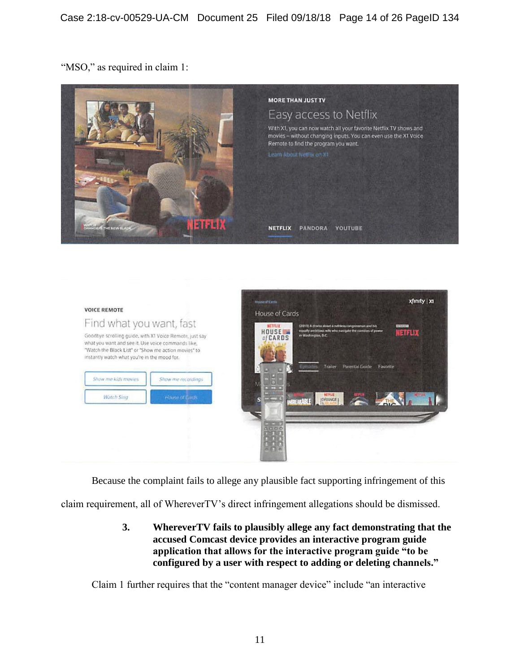"MSO," as required in claim 1:





Because the complaint fails to allege any plausible fact supporting infringement of this

claim requirement, all of WhereverTV's direct infringement allegations should be dismissed.

**3. WhereverTV fails to plausibly allege any fact demonstrating that the accused Comcast device provides an interactive program guide application that allows for the interactive program guide "to be configured by a user with respect to adding or deleting channels."** 

Claim 1 further requires that the "content manager device" include "an interactive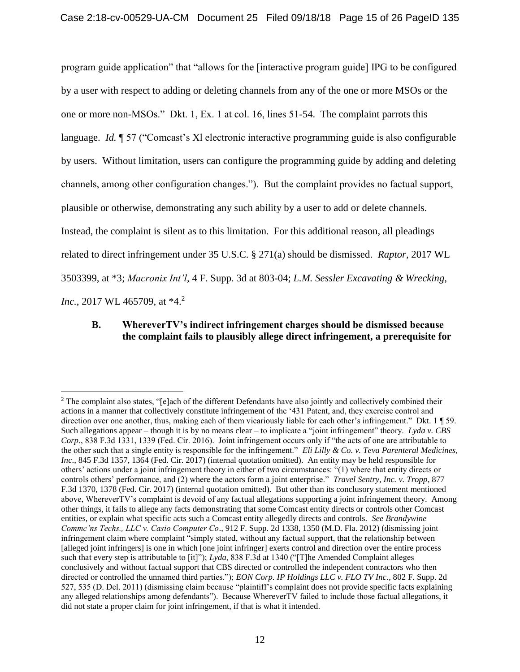program guide application" that "allows for the [interactive program guide] IPG to be configured by a user with respect to adding or deleting channels from any of the one or more MSOs or the one or more non-MSOs." Dkt. 1, Ex. 1 at col. 16, lines 51-54. The complaint parrots this language. *Id.* ¶ 57 ("Comcast's Xl electronic interactive programming guide is also configurable by users. Without limitation, users can configure the programming guide by adding and deleting channels, among other configuration changes."). But the complaint provides no factual support, plausible or otherwise, demonstrating any such ability by a user to add or delete channels. Instead, the complaint is silent as to this limitation. For this additional reason, all pleadings related to direct infringement under 35 U.S.C. § 271(a) should be dismissed. *Raptor*, 2017 WL 3503399, at \*3; *Macronix Int'l*, 4 F. Supp. 3d at 803-04; *L.M. Sessler Excavating & Wrecking, Inc.*, 2017 WL 465709, at \*4.<sup>2</sup>

# **B. WhereverTV's indirect infringement charges should be dismissed because the complaint fails to plausibly allege direct infringement, a prerequisite for**

 $\overline{a}$ 

<sup>&</sup>lt;sup>2</sup> The complaint also states, "[e]ach of the different Defendants have also jointly and collectively combined their actions in a manner that collectively constitute infringement of the '431 Patent, and, they exercise control and direction over one another, thus, making each of them vicariously liable for each other's infringement." Dkt. 1 ¶ 59. Such allegations appear – though it is by no means clear – to implicate a "joint infringement" theory. *Lyda v. CBS Corp*., 838 F.3d 1331, 1339 (Fed. Cir. 2016). Joint infringement occurs only if "the acts of one are attributable to the other such that a single entity is responsible for the infringement." *Eli Lilly & Co. v. Teva Parenteral Medicines, Inc*., 845 F.3d 1357, 1364 (Fed. Cir. 2017) (internal quotation omitted). An entity may be held responsible for others' actions under a joint infringement theory in either of two circumstances: "(1) where that entity directs or controls others' performance, and (2) where the actors form a joint enterprise." *Travel Sentry, Inc. v. Tropp*, 877 F.3d 1370, 1378 (Fed. Cir. 2017) (internal quotation omitted). But other than its conclusory statement mentioned above, WhereverTV's complaint is devoid of any factual allegations supporting a joint infringement theory. Among other things, it fails to allege any facts demonstrating that some Comcast entity directs or controls other Comcast entities, or explain what specific acts such a Comcast entity allegedly directs and controls. *See Brandywine Commc'ns Techs., LLC v. Casio Computer Co*., 912 F. Supp. 2d 1338, 1350 (M.D. Fla. 2012) (dismissing joint infringement claim where complaint "simply stated, without any factual support, that the relationship between [alleged joint infringers] is one in which [one joint infringer] exerts control and direction over the entire process such that every step is attributable to [it]"); *Lyda*, 838 F.3d at 1340 ("[T]he Amended Complaint alleges conclusively and without factual support that CBS directed or controlled the independent contractors who then directed or controlled the unnamed third parties."); *EON Corp. IP Holdings LLC v. FLO TV Inc*., 802 F. Supp. 2d 527, 535 (D. Del. 2011) (dismissing claim because "plaintiff's complaint does not provide specific facts explaining any alleged relationships among defendants"). Because WhereverTV failed to include those factual allegations, it did not state a proper claim for joint infringement, if that is what it intended.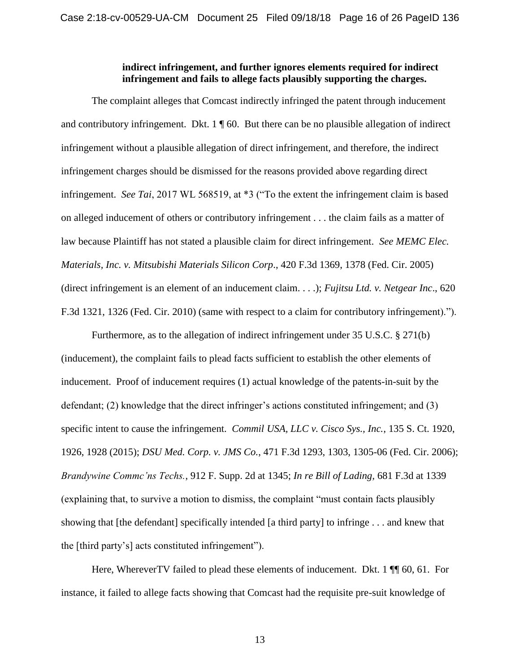### **indirect infringement, and further ignores elements required for indirect infringement and fails to allege facts plausibly supporting the charges.**

The complaint alleges that Comcast indirectly infringed the patent through inducement and contributory infringement. Dkt.  $1 \nparallel 60$ . But there can be no plausible allegation of indirect infringement without a plausible allegation of direct infringement, and therefore, the indirect infringement charges should be dismissed for the reasons provided above regarding direct infringement. *See Tai*, 2017 WL 568519, at \*3 ("To the extent the infringement claim is based on alleged inducement of others or contributory infringement . . . the claim fails as a matter of law because Plaintiff has not stated a plausible claim for direct infringement. *See MEMC Elec. Materials, Inc. v. Mitsubishi Materials Silicon Corp*., 420 F.3d 1369, 1378 (Fed. Cir. 2005) (direct infringement is an element of an inducement claim. . . .); *Fujitsu Ltd. v. Netgear Inc*., 620 F.3d 1321, 1326 (Fed. Cir. 2010) (same with respect to a claim for contributory infringement).").

Furthermore, as to the allegation of indirect infringement under 35 U.S.C. § 271(b) (inducement), the complaint fails to plead facts sufficient to establish the other elements of inducement. Proof of inducement requires (1) actual knowledge of the patents-in-suit by the defendant; (2) knowledge that the direct infringer's actions constituted infringement; and (3) specific intent to cause the infringement. *Commil USA, LLC v. Cisco Sys., Inc.*, 135 S. Ct. 1920, 1926, 1928 (2015); *DSU Med. Corp. v. JMS Co.*, 471 F.3d 1293, 1303, 1305-06 (Fed. Cir. 2006); *Brandywine Commc'ns Techs.*, 912 F. Supp. 2d at 1345; *In re Bill of Lading,* 681 F.3d at 1339 (explaining that, to survive a motion to dismiss, the complaint "must contain facts plausibly showing that [the defendant] specifically intended [a third party] to infringe . . . and knew that the [third party's] acts constituted infringement").

Here, WhereverTV failed to plead these elements of inducement. Dkt. 1  $\P$  60, 61. For instance, it failed to allege facts showing that Comcast had the requisite pre-suit knowledge of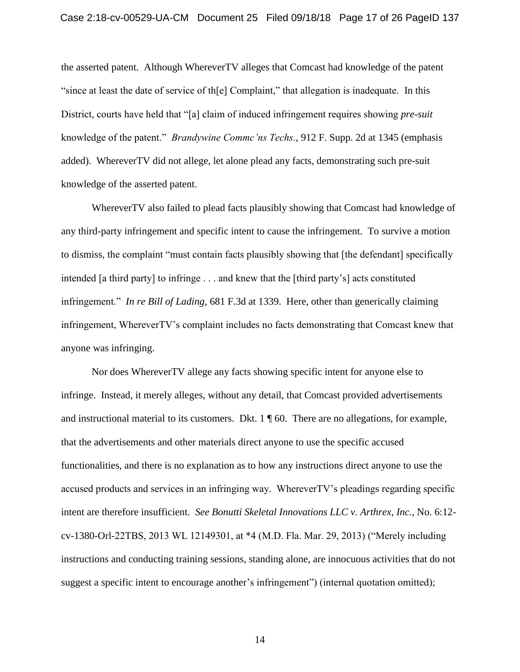the asserted patent. Although WhereverTV alleges that Comcast had knowledge of the patent "since at least the date of service of th[e] Complaint," that allegation is inadequate. In this District, courts have held that "[a] claim of induced infringement requires showing *pre-suit* knowledge of the patent." *Brandywine Commc'ns Techs.*, 912 F. Supp. 2d at 1345 (emphasis added). WhereverTV did not allege, let alone plead any facts, demonstrating such pre-suit knowledge of the asserted patent.

WhereverTV also failed to plead facts plausibly showing that Comcast had knowledge of any third-party infringement and specific intent to cause the infringement. To survive a motion to dismiss, the complaint "must contain facts plausibly showing that [the defendant] specifically intended [a third party] to infringe . . . and knew that the [third party's] acts constituted infringement." *In re Bill of Lading*, 681 F.3d at 1339. Here, other than generically claiming infringement, WhereverTV's complaint includes no facts demonstrating that Comcast knew that anyone was infringing.

Nor does WhereverTV allege any facts showing specific intent for anyone else to infringe. Instead, it merely alleges, without any detail, that Comcast provided advertisements and instructional material to its customers. Dkt. 1 ¶ 60. There are no allegations, for example, that the advertisements and other materials direct anyone to use the specific accused functionalities, and there is no explanation as to how any instructions direct anyone to use the accused products and services in an infringing way. WhereverTV's pleadings regarding specific intent are therefore insufficient. *See Bonutti Skeletal Innovations LLC v. Arthrex, Inc.*, No. 6:12 cv-1380-Orl-22TBS, 2013 WL 12149301, at \*4 (M.D. Fla. Mar. 29, 2013) ("Merely including instructions and conducting training sessions, standing alone, are innocuous activities that do not suggest a specific intent to encourage another's infringement") (internal quotation omitted);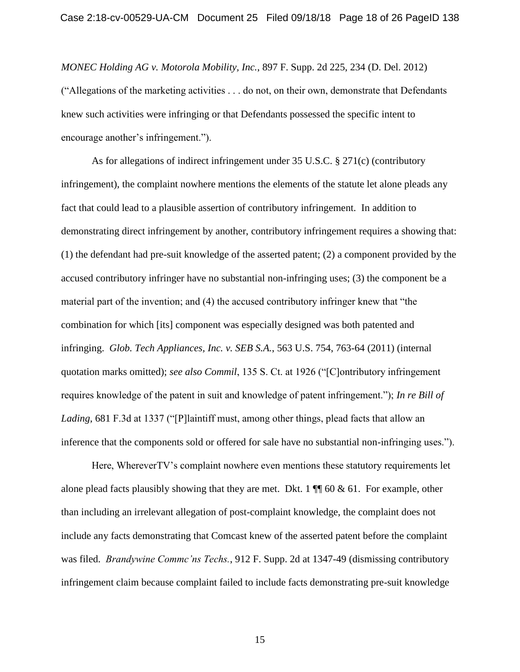*MONEC Holding AG v. Motorola Mobility, Inc.*, 897 F. Supp. 2d 225, 234 (D. Del. 2012) ("Allegations of the marketing activities . . . do not, on their own, demonstrate that Defendants knew such activities were infringing or that Defendants possessed the specific intent to encourage another's infringement.").

As for allegations of indirect infringement under 35 U.S.C. § 271(c) (contributory infringement), the complaint nowhere mentions the elements of the statute let alone pleads any fact that could lead to a plausible assertion of contributory infringement. In addition to demonstrating direct infringement by another, contributory infringement requires a showing that: (1) the defendant had pre-suit knowledge of the asserted patent; (2) a component provided by the accused contributory infringer have no substantial non-infringing uses; (3) the component be a material part of the invention; and (4) the accused contributory infringer knew that "the combination for which [its] component was especially designed was both patented and infringing. *Glob. Tech Appliances, Inc. v. SEB S.A.*, 563 U.S. 754, 763-64 (2011) (internal quotation marks omitted); *see also Commil*, 135 S. Ct. at 1926 ("[C]ontributory infringement requires knowledge of the patent in suit and knowledge of patent infringement."); *In re Bill of Lading*, 681 F.3d at 1337 ("[P]laintiff must, among other things, plead facts that allow an inference that the components sold or offered for sale have no substantial non-infringing uses.").

Here, WhereverTV's complaint nowhere even mentions these statutory requirements let alone plead facts plausibly showing that they are met. Dkt. 1  $\P$  60 & 61. For example, other than including an irrelevant allegation of post-complaint knowledge, the complaint does not include any facts demonstrating that Comcast knew of the asserted patent before the complaint was filed. *Brandywine Commc'ns Techs.*, 912 F. Supp. 2d at 1347-49 (dismissing contributory infringement claim because complaint failed to include facts demonstrating pre-suit knowledge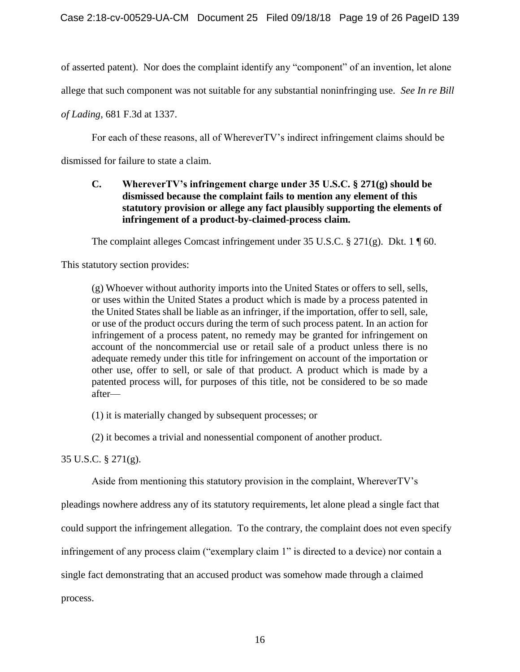of asserted patent). Nor does the complaint identify any "component" of an invention, let alone

allege that such component was not suitable for any substantial noninfringing use. *See In re Bill* 

*of Lading*, 681 F.3d at 1337.

For each of these reasons, all of WhereverTV's indirect infringement claims should be dismissed for failure to state a claim.

### **C. WhereverTV's infringement charge under 35 U.S.C. § 271(g) should be dismissed because the complaint fails to mention any element of this statutory provision or allege any fact plausibly supporting the elements of infringement of a product-by-claimed-process claim.**

The complaint alleges Comcast infringement under 35 U.S.C. § 271(g). Dkt. 1  $\parallel$  60.

This statutory section provides:

(g) Whoever without authority imports into the United States or offers to sell, sells, or uses within the United States a product which is made by a process patented in the United States shall be liable as an infringer, if the importation, offer to sell, sale, or use of the product occurs during the term of such process patent. In an action for infringement of a process patent, no remedy may be granted for infringement on account of the noncommercial use or retail sale of a product unless there is no adequate remedy under this title for infringement on account of the importation or other use, offer to sell, or sale of that product. A product which is made by a patented process will, for purposes of this title, not be considered to be so made after—

(1) it is materially changed by subsequent processes; or

(2) it becomes a trivial and nonessential component of another product.

35 U.S.C. § 271(g).

Aside from mentioning this statutory provision in the complaint, WhereverTV's

pleadings nowhere address any of its statutory requirements, let alone plead a single fact that

could support the infringement allegation. To the contrary, the complaint does not even specify

infringement of any process claim ("exemplary claim 1" is directed to a device) nor contain a

single fact demonstrating that an accused product was somehow made through a claimed

process.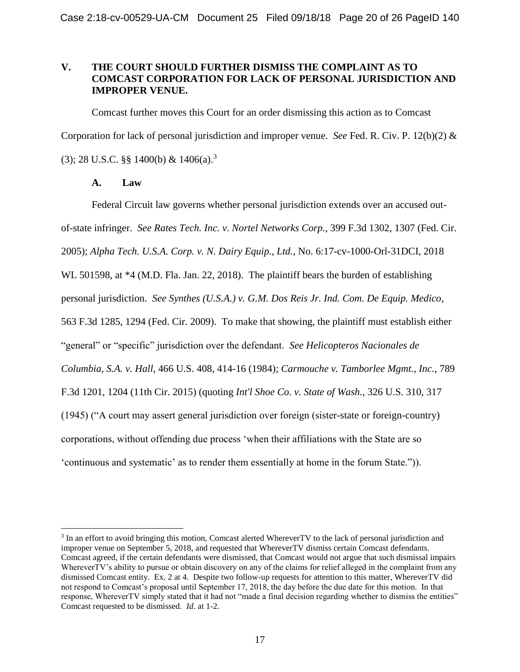### **V. THE COURT SHOULD FURTHER DISMISS THE COMPLAINT AS TO COMCAST CORPORATION FOR LACK OF PERSONAL JURISDICTION AND IMPROPER VENUE.**

Comcast further moves this Court for an order dismissing this action as to Comcast Corporation for lack of personal jurisdiction and improper venue. *See* Fed. R. Civ. P. 12(b)(2) & (3); 28 U.S.C. §§ 1400(b) & 1406(a).<sup>3</sup>

### **A. Law**

 $\overline{a}$ 

Federal Circuit law governs whether personal jurisdiction extends over an accused outof-state infringer. *See Rates Tech. Inc. v. Nortel Networks Corp.*, 399 F.3d 1302, 1307 (Fed. Cir. 2005); *Alpha Tech. U.S.A. Corp. v. N. Dairy Equip., Ltd.*, No. 6:17-cv-1000-Orl-31DCI, 2018 WL 501598, at  $*4$  (M.D. Fla. Jan. 22, 2018). The plaintiff bears the burden of establishing personal jurisdiction. *See Synthes (U.S.A.) v. G.M. Dos Reis Jr. Ind. Com. De Equip. Medico*, 563 F.3d 1285, 1294 (Fed. Cir. 2009). To make that showing, the plaintiff must establish either "general" or "specific" jurisdiction over the defendant. *See Helicopteros Nacionales de Columbia, S.A. v. Hall*, 466 U.S. 408, 414-16 (1984); *Carmouche v. Tamborlee Mgmt., Inc.*, 789 F.3d 1201, 1204 (11th Cir. 2015) (quoting *Int'l Shoe Co. v. State of Wash.*, 326 U.S. 310, 317 (1945) ("A court may assert general jurisdiction over foreign (sister-state or foreign-country) corporations, without offending due process 'when their affiliations with the State are so 'continuous and systematic' as to render them essentially at home in the forum State.")).

<sup>&</sup>lt;sup>3</sup> In an effort to avoid bringing this motion, Comcast alerted WhereverTV to the lack of personal jurisdiction and improper venue on September 5, 2018, and requested that WhereverTV dismiss certain Comcast defendants. Comcast agreed, if the certain defendants were dismissed, that Comcast would not argue that such dismissal impairs WhereverTV's ability to pursue or obtain discovery on any of the claims for relief alleged in the complaint from any dismissed Comcast entity. Ex. 2 at 4. Despite two follow-up requests for attention to this matter, WhereverTV did not respond to Comcast's proposal until September 17, 2018, the day before the due date for this motion. In that response, WhereverTV simply stated that it had not "made a final decision regarding whether to dismiss the entities" Comcast requested to be dismissed. *Id*. at 1-2.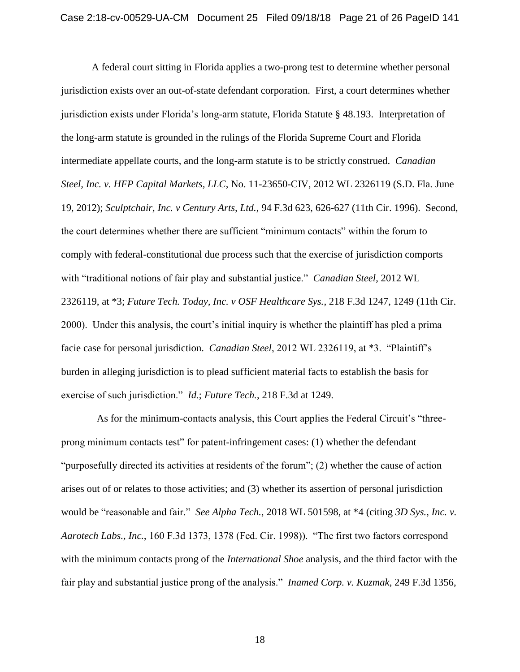A federal court sitting in Florida applies a two-prong test to determine whether personal jurisdiction exists over an out-of-state defendant corporation. First, a court determines whether jurisdiction exists under Florida's long-arm statute, Florida Statute § 48.193. Interpretation of the long-arm statute is grounded in the rulings of the Florida Supreme Court and Florida intermediate appellate courts, and the long-arm statute is to be strictly construed. *Canadian Steel, Inc. v. HFP Capital Markets, LLC*, No. 11-23650-CIV, 2012 WL 2326119 (S.D. Fla. June 19, 2012); *Sculptchair, Inc. v Century Arts, Ltd.*, 94 F.3d 623, 626-627 (11th Cir. 1996). Second, the court determines whether there are sufficient "minimum contacts" within the forum to comply with federal-constitutional due process such that the exercise of jurisdiction comports with "traditional notions of fair play and substantial justice." *Canadian Steel*, 2012 WL 2326119, at \*3; *Future Tech. Today, Inc. v OSF Healthcare Sys.*, 218 F.3d 1247, 1249 (11th Cir. 2000). Under this analysis, the court's initial inquiry is whether the plaintiff has pled a prima facie case for personal jurisdiction. *Canadian Steel*, 2012 WL 2326119, at \*3. "Plaintiff's burden in alleging jurisdiction is to plead sufficient material facts to establish the basis for exercise of such jurisdiction." *Id.*; *Future Tech.*, 218 F.3d at 1249.

 As for the minimum-contacts analysis, this Court applies the Federal Circuit's "threeprong minimum contacts test" for patent-infringement cases: (1) whether the defendant "purposefully directed its activities at residents of the forum"; (2) whether the cause of action arises out of or relates to those activities; and (3) whether its assertion of personal jurisdiction would be "reasonable and fair." *See Alpha Tech.*, 2018 WL 501598, at \*4 (citing *3D Sys., Inc. v. Aarotech Labs., Inc.*, 160 F.3d 1373, 1378 (Fed. Cir. 1998)). "The first two factors correspond with the minimum contacts prong of the *International Shoe* analysis, and the third factor with the fair play and substantial justice prong of the analysis." *Inamed Corp. v. Kuzmak*, 249 F.3d 1356,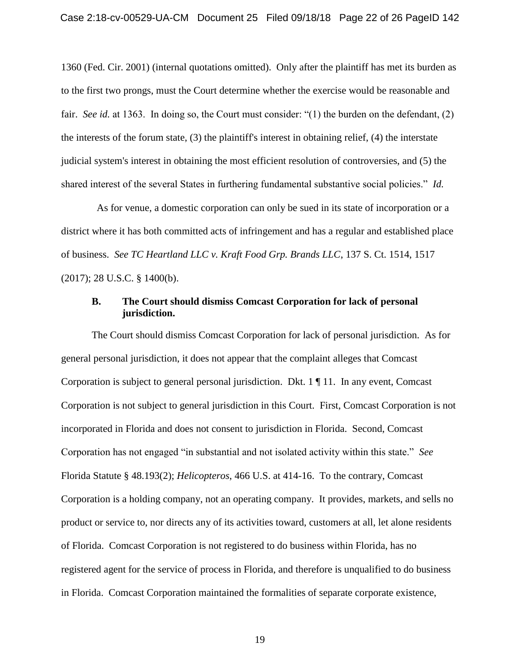1360 (Fed. Cir. 2001) (internal quotations omitted). Only after the plaintiff has met its burden as to the first two prongs, must the Court determine whether the exercise would be reasonable and fair. *See id.* at 1363. In doing so, the Court must consider: "(1) the burden on the defendant, (2) the interests of the forum state, (3) the plaintiff's interest in obtaining relief, (4) the interstate judicial system's interest in obtaining the most efficient resolution of controversies, and (5) the shared interest of the several States in furthering fundamental substantive social policies." *Id.*

 As for venue, a domestic corporation can only be sued in its state of incorporation or a district where it has both committed acts of infringement and has a regular and established place of business. *See TC Heartland LLC v. Kraft Food Grp. Brands LLC*, 137 S. Ct. 1514, 1517 (2017); 28 U.S.C. § 1400(b).

#### **B. The Court should dismiss Comcast Corporation for lack of personal jurisdiction.**

The Court should dismiss Comcast Corporation for lack of personal jurisdiction. As for general personal jurisdiction, it does not appear that the complaint alleges that Comcast Corporation is subject to general personal jurisdiction. Dkt. 1 ¶ 11. In any event, Comcast Corporation is not subject to general jurisdiction in this Court. First, Comcast Corporation is not incorporated in Florida and does not consent to jurisdiction in Florida. Second, Comcast Corporation has not engaged "in substantial and not isolated activity within this state." *See* Florida Statute § 48.193(2); *Helicopteros*, 466 U.S. at 414-16. To the contrary, Comcast Corporation is a holding company, not an operating company. It provides, markets, and sells no product or service to, nor directs any of its activities toward, customers at all, let alone residents of Florida. Comcast Corporation is not registered to do business within Florida, has no registered agent for the service of process in Florida, and therefore is unqualified to do business in Florida. Comcast Corporation maintained the formalities of separate corporate existence,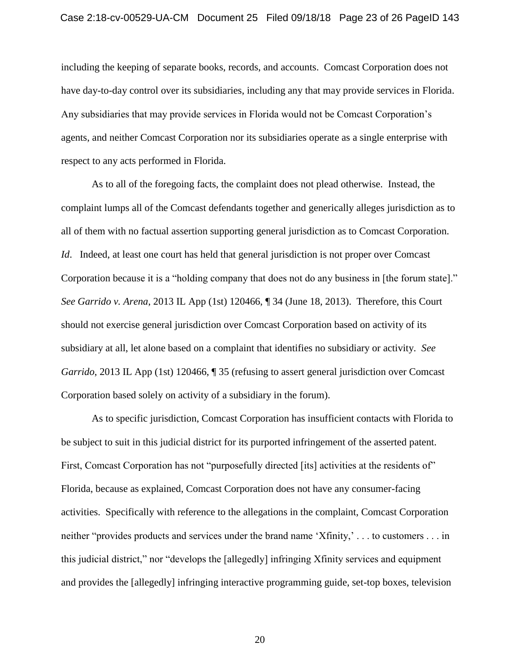including the keeping of separate books, records, and accounts. Comcast Corporation does not have day-to-day control over its subsidiaries, including any that may provide services in Florida. Any subsidiaries that may provide services in Florida would not be Comcast Corporation's agents, and neither Comcast Corporation nor its subsidiaries operate as a single enterprise with respect to any acts performed in Florida.

As to all of the foregoing facts, the complaint does not plead otherwise. Instead, the complaint lumps all of the Comcast defendants together and generically alleges jurisdiction as to all of them with no factual assertion supporting general jurisdiction as to Comcast Corporation. *Id.* Indeed, at least one court has held that general jurisdiction is not proper over Comcast Corporation because it is a "holding company that does not do any business in [the forum state]." *See Garrido v. Arena*, 2013 IL App (1st) 120466, ¶ 34 (June 18, 2013). Therefore, this Court should not exercise general jurisdiction over Comcast Corporation based on activity of its subsidiary at all, let alone based on a complaint that identifies no subsidiary or activity. *See Garrido*, 2013 IL App (1st) 120466, **[135]** (refusing to assert general jurisdiction over Comcast Corporation based solely on activity of a subsidiary in the forum).

As to specific jurisdiction, Comcast Corporation has insufficient contacts with Florida to be subject to suit in this judicial district for its purported infringement of the asserted patent. First, Comcast Corporation has not "purposefully directed [its] activities at the residents of" Florida, because as explained, Comcast Corporation does not have any consumer-facing activities. Specifically with reference to the allegations in the complaint, Comcast Corporation neither "provides products and services under the brand name 'Xfinity,' . . . to customers . . . in this judicial district," nor "develops the [allegedly] infringing Xfinity services and equipment and provides the [allegedly] infringing interactive programming guide, set-top boxes, television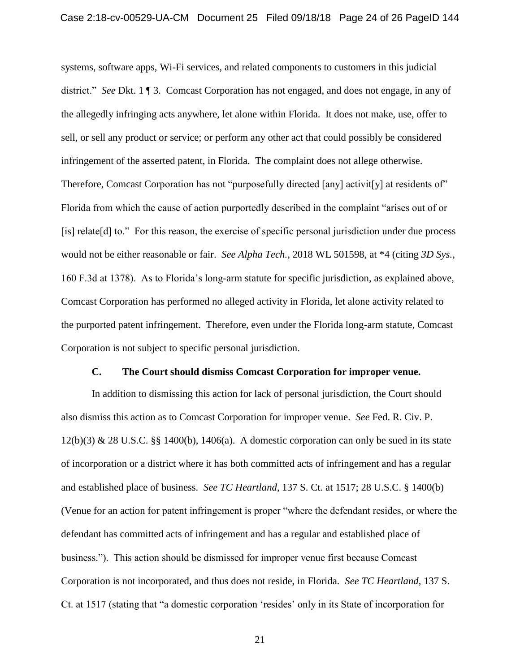systems, software apps, Wi-Fi services, and related components to customers in this judicial district." *See* Dkt. 1 ¶ 3. Comcast Corporation has not engaged, and does not engage, in any of the allegedly infringing acts anywhere, let alone within Florida. It does not make, use, offer to sell, or sell any product or service; or perform any other act that could possibly be considered infringement of the asserted patent, in Florida. The complaint does not allege otherwise. Therefore, Comcast Corporation has not "purposefully directed [any] activit[y] at residents of" Florida from which the cause of action purportedly described in the complaint "arises out of or [is] relate[d] to." For this reason, the exercise of specific personal jurisdiction under due process would not be either reasonable or fair. *See Alpha Tech.*, 2018 WL 501598, at \*4 (citing *3D Sys.*, 160 F.3d at 1378). As to Florida's long-arm statute for specific jurisdiction, as explained above, Comcast Corporation has performed no alleged activity in Florida, let alone activity related to the purported patent infringement. Therefore, even under the Florida long-arm statute, Comcast Corporation is not subject to specific personal jurisdiction.

#### **C. The Court should dismiss Comcast Corporation for improper venue.**

In addition to dismissing this action for lack of personal jurisdiction, the Court should also dismiss this action as to Comcast Corporation for improper venue. *See* Fed. R. Civ. P. 12(b)(3) & 28 U.S.C. §§ 1400(b), 1406(a). A domestic corporation can only be sued in its state of incorporation or a district where it has both committed acts of infringement and has a regular and established place of business. *See TC Heartland*, 137 S. Ct. at 1517; 28 U.S.C. § 1400(b) (Venue for an action for patent infringement is proper "where the defendant resides, or where the defendant has committed acts of infringement and has a regular and established place of business."). This action should be dismissed for improper venue first because Comcast Corporation is not incorporated, and thus does not reside, in Florida. *See TC Heartland*, 137 S. Ct. at 1517 (stating that "a domestic corporation 'resides' only in its State of incorporation for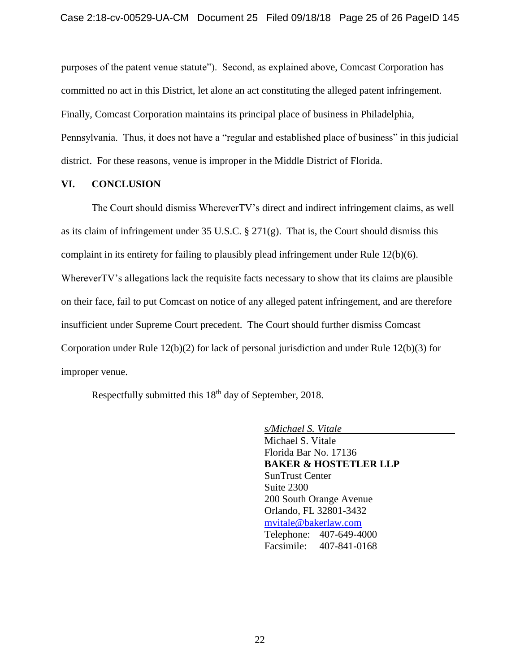purposes of the patent venue statute"). Second, as explained above, Comcast Corporation has committed no act in this District, let alone an act constituting the alleged patent infringement. Finally, Comcast Corporation maintains its principal place of business in Philadelphia, Pennsylvania. Thus, it does not have a "regular and established place of business" in this judicial district. For these reasons, venue is improper in the Middle District of Florida.

#### **VI. CONCLUSION**

The Court should dismiss WhereverTV's direct and indirect infringement claims, as well as its claim of infringement under 35 U.S.C. § 271(g). That is, the Court should dismiss this complaint in its entirety for failing to plausibly plead infringement under Rule 12(b)(6). WhereverTV's allegations lack the requisite facts necessary to show that its claims are plausible on their face, fail to put Comcast on notice of any alleged patent infringement, and are therefore insufficient under Supreme Court precedent. The Court should further dismiss Comcast Corporation under Rule 12(b)(2) for lack of personal jurisdiction and under Rule 12(b)(3) for improper venue.

Respectfully submitted this 18<sup>th</sup> day of September, 2018.

*s/Michael S. Vitale* Michael S. Vitale Florida Bar No. 17136 **BAKER & HOSTETLER LLP** SunTrust Center Suite 2300 200 South Orange Avenue Orlando, FL 32801-3432 [mvitale@bakerlaw.com](mailto:mvitale@bakerlaw.com) Telephone: 407-649-4000 Facsimile: 407-841-0168